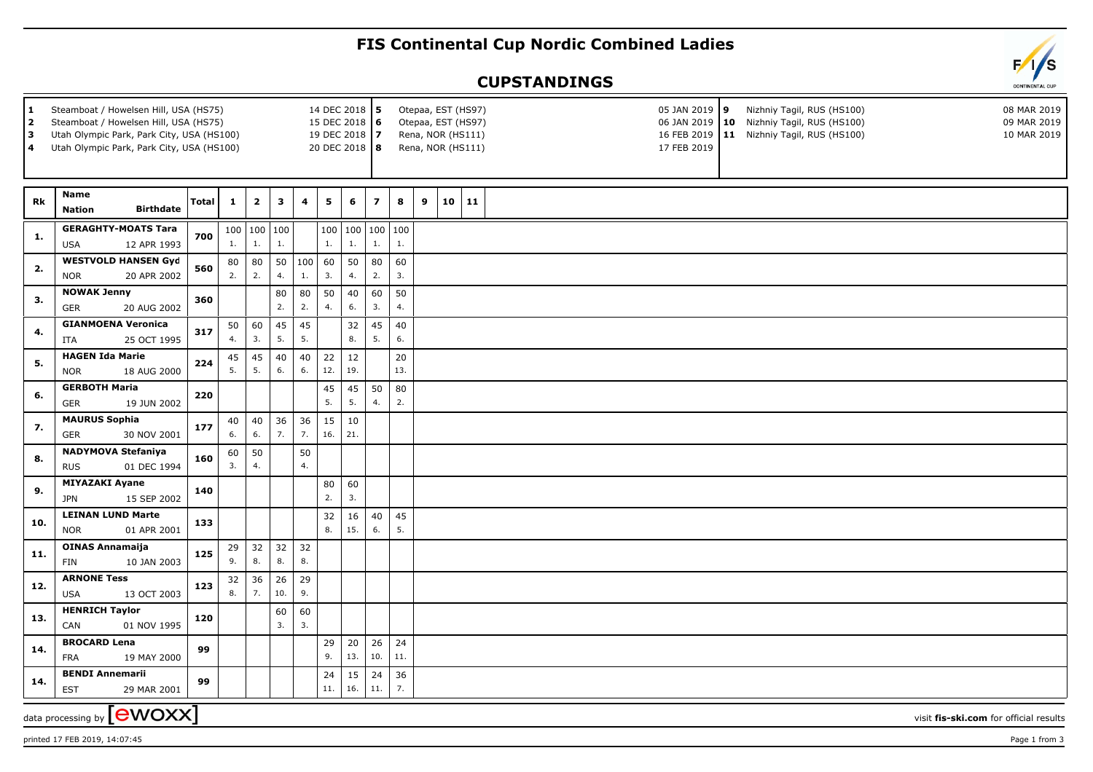## **FIS Continental Cup Nordic Combined Ladies**

## **CUPSTANDINGS**

| $\vert$ 1<br>Steamboat / Howelsen Hill, USA (HS75)<br>14 DEC 2018 5<br>Otepaa, EST (HS97)<br>2<br>Steamboat / Howelsen Hill, USA (HS75)<br>15 DEC 2018 6<br>Otepaa, EST (HS97)<br>l 3<br>Utah Olympic Park, Park City, USA (HS100)<br>19 DEC 2018   7<br>Rena, NOR (HS111)<br>l 4<br>20 DEC 2018 8<br>Utah Olympic Park, Park City, USA (HS100)<br>Rena, NOR (HS111) |                                                         |       |              |                         |                         |           |           |                       |                         |           |   |       |  |  | 05 JAN 2019 9<br>17 FEB 2019 | Nizhniy Tagil, RUS (HS100)<br>06 JAN 2019   10 Nizhniy Tagil, RUS (HS100)<br>16 FEB 2019   11 Nizhniy Tagil, RUS (HS100) | 08 MAR 2019<br>09 MAR 2019<br>10 MAR 2019 |
|----------------------------------------------------------------------------------------------------------------------------------------------------------------------------------------------------------------------------------------------------------------------------------------------------------------------------------------------------------------------|---------------------------------------------------------|-------|--------------|-------------------------|-------------------------|-----------|-----------|-----------------------|-------------------------|-----------|---|-------|--|--|------------------------------|--------------------------------------------------------------------------------------------------------------------------|-------------------------------------------|
| Rk                                                                                                                                                                                                                                                                                                                                                                   | Name<br><b>Birthdate</b><br><b>Nation</b>               | Total | $\mathbf{1}$ | $\overline{\mathbf{2}}$ | $\overline{\mathbf{3}}$ | 4         | 5         | 6                     | $\overline{\mathbf{z}}$ | $\bf{8}$  | 9 | 10 11 |  |  |                              |                                                                                                                          |                                           |
| 1.                                                                                                                                                                                                                                                                                                                                                                   | <b>GERAGHTY-MOATS Tara</b><br>12 APR 1993<br><b>USA</b> | 700   | 1.           | 1.                      | 100   100   100<br>1.   |           | 1.        | 100   100   100<br>1. | 1.                      | 100<br>1. |   |       |  |  |                              |                                                                                                                          |                                           |
| 2.                                                                                                                                                                                                                                                                                                                                                                   | <b>WESTVOLD HANSEN Gyd</b><br>20 APR 2002<br><b>NOR</b> | 560   | 80<br>2.     | 80<br>2.                | 50<br>4.                | 100<br>1. | 60<br>3.  | 50<br>4.              | 80<br>2.                | 60<br>3.  |   |       |  |  |                              |                                                                                                                          |                                           |
| 3.                                                                                                                                                                                                                                                                                                                                                                   | <b>NOWAK Jenny</b><br>GER<br>20 AUG 2002                | 360   |              |                         | 80<br>2.                | 80<br>2.  | 50<br>4.  | 40<br>6.              | 60<br>3.                | 50<br>4.  |   |       |  |  |                              |                                                                                                                          |                                           |
| 4.                                                                                                                                                                                                                                                                                                                                                                   | <b>GIANMOENA Veronica</b><br>ITA<br>25 OCT 1995         | 317   | 50<br>4.     | 60<br>3.                | 45<br>5.                | 45<br>5.  |           | 32<br>8.              | 45<br>5.                | 40<br>6.  |   |       |  |  |                              |                                                                                                                          |                                           |
| 5.                                                                                                                                                                                                                                                                                                                                                                   | <b>HAGEN Ida Marie</b><br>18 AUG 2000<br><b>NOR</b>     | 224   | 45<br>5.     | 45<br>5.                | 40<br>6.                | 40<br>6.  | 22<br>12. | 12<br>19.             |                         | 20<br>13. |   |       |  |  |                              |                                                                                                                          |                                           |
| 6.                                                                                                                                                                                                                                                                                                                                                                   | <b>GERBOTH Maria</b><br><b>GER</b><br>19 JUN 2002       | 220   |              |                         |                         |           | 45<br>5.  | 45<br>5.              | 50<br>4.                | 80<br>2.  |   |       |  |  |                              |                                                                                                                          |                                           |
| 7.                                                                                                                                                                                                                                                                                                                                                                   | <b>MAURUS Sophia</b><br>GER<br>30 NOV 2001              | 177   | 40<br>6.     | 40<br>6.                | 36<br>7.                | 36<br>7.  | 15<br>16. | 10<br>21.             |                         |           |   |       |  |  |                              |                                                                                                                          |                                           |
| 8.                                                                                                                                                                                                                                                                                                                                                                   | <b>NADYMOVA Stefaniya</b><br><b>RUS</b><br>01 DEC 1994  | 160   | 60<br>3.     | 50<br>4.                |                         | 50<br>4.  |           |                       |                         |           |   |       |  |  |                              |                                                                                                                          |                                           |
| 9.                                                                                                                                                                                                                                                                                                                                                                   | <b>MIYAZAKI Ayane</b><br><b>JPN</b><br>15 SEP 2002      | 140   |              |                         |                         |           | 80<br>2.  | 60<br>3.              |                         |           |   |       |  |  |                              |                                                                                                                          |                                           |
| 10.                                                                                                                                                                                                                                                                                                                                                                  | <b>LEINAN LUND Marte</b><br>01 APR 2001<br><b>NOR</b>   | 133   |              |                         |                         |           | 32<br>8.  | 16<br>15.             | 40<br>6.                | 45<br>5.  |   |       |  |  |                              |                                                                                                                          |                                           |
| 11.                                                                                                                                                                                                                                                                                                                                                                  | <b>OINAS Annamaija</b><br>10 JAN 2003<br>FIN            | 125   | 29<br>9.     | 32<br>8.                | 32<br>8.                | 32<br>8.  |           |                       |                         |           |   |       |  |  |                              |                                                                                                                          |                                           |
| 12.                                                                                                                                                                                                                                                                                                                                                                  | <b>ARNONE Tess</b><br>13 OCT 2003<br><b>USA</b>         | 123   | 32<br>8.     | 36<br>7.                | 26<br>10.               | 29<br>9.  |           |                       |                         |           |   |       |  |  |                              |                                                                                                                          |                                           |
| 13.                                                                                                                                                                                                                                                                                                                                                                  | <b>HENRICH Taylor</b><br>CAN<br>01 NOV 1995             | 120   |              |                         | 60<br>3.                | 60<br>3.  |           |                       |                         |           |   |       |  |  |                              |                                                                                                                          |                                           |
| 14.                                                                                                                                                                                                                                                                                                                                                                  | <b>BROCARD Lena</b><br><b>FRA</b><br>19 MAY 2000        | 99    |              |                         |                         |           | 29<br>9.  | 20<br>13.             | 26<br>10.               | 24<br>11. |   |       |  |  |                              |                                                                                                                          |                                           |
| 14.                                                                                                                                                                                                                                                                                                                                                                  | <b>BENDI Annemarii</b><br><b>EST</b><br>29 MAR 2001     | 99    |              |                         |                         |           | 24<br>11. | 15<br>16.             | 24<br>11.               | 36<br>7.  |   |       |  |  |                              |                                                                                                                          |                                           |
| data processing by [ <b>eWOXX</b> ]<br>visit fis-ski.com for official results                                                                                                                                                                                                                                                                                        |                                                         |       |              |                         |                         |           |           |                       |                         |           |   |       |  |  |                              |                                                                                                                          |                                           |

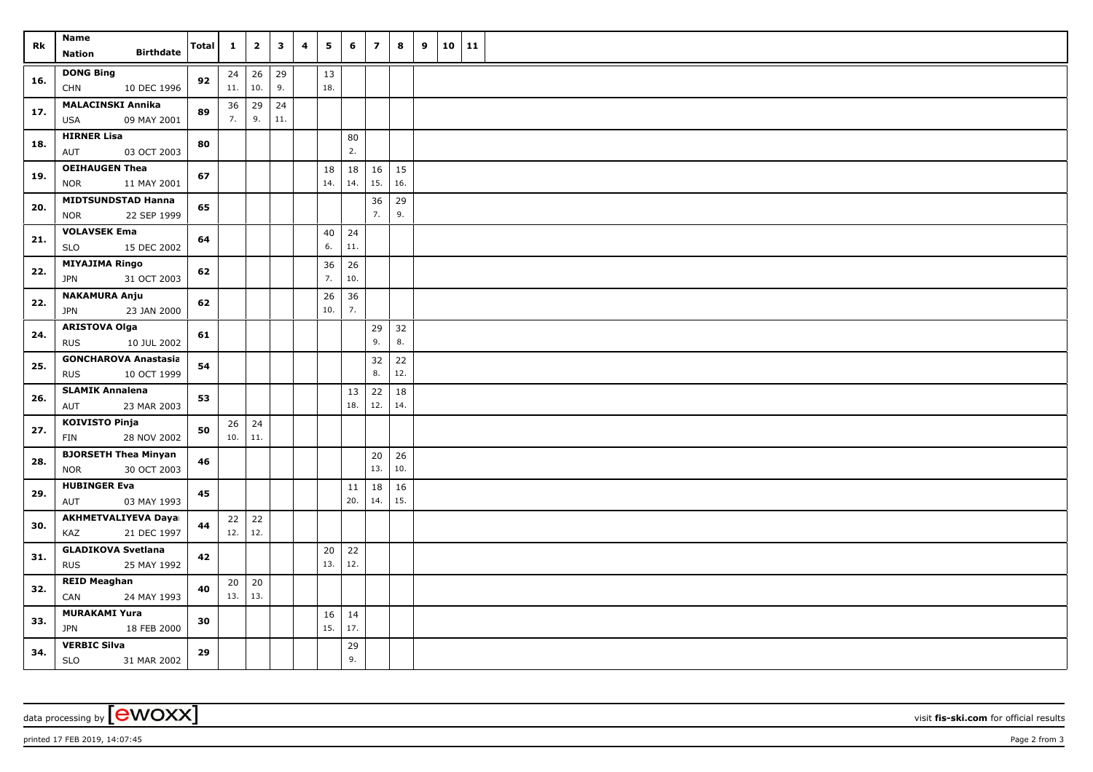| Rk  | Name                                                     | <b>Total</b> | $\mathbf{1}$ | $\overline{2}$      | $\mathbf{3}$ | 4 | 5   | 6         | $\overline{\phantom{a}}$ | 8         | 9 | 10 11 |  |
|-----|----------------------------------------------------------|--------------|--------------|---------------------|--------------|---|-----|-----------|--------------------------|-----------|---|-------|--|
|     | <b>Birthdate</b><br><b>Nation</b>                        |              |              |                     |              |   |     |           |                          |           |   |       |  |
| 16. | <b>DONG Bing</b>                                         | 92           | 24           | 26                  | 29           |   | 13  |           |                          |           |   |       |  |
|     | <b>CHN</b><br>10 DEC 1996                                |              | 11.          | 10.                 | 9.           |   | 18. |           |                          |           |   |       |  |
| 17. | <b>MALACINSKI Annika</b>                                 | 89           | 36           | 29                  | 24           |   |     |           |                          |           |   |       |  |
|     | 09 MAY 2001<br><b>USA</b>                                |              | 7.           | 9.                  | 11.          |   |     |           |                          |           |   |       |  |
| 18. | <b>HIRNER Lisa</b>                                       | 80           |              |                     |              |   |     | 80        |                          |           |   |       |  |
|     | AUT<br>03 OCT 2003                                       |              |              |                     |              |   |     | 2.        |                          |           |   |       |  |
| 19. | <b>OEIHAUGEN Thea</b>                                    | 67           |              |                     |              |   | 18  | 18        | 16                       | 15        |   |       |  |
|     | <b>NOR</b><br>11 MAY 2001                                |              |              |                     |              |   | 14. | 14.       | 15.                      | 16.       |   |       |  |
| 20. | <b>MIDTSUNDSTAD Hanna</b>                                | 65           |              |                     |              |   |     |           | 36                       | 29        |   |       |  |
|     | 22 SEP 1999<br><b>NOR</b>                                |              |              |                     |              |   |     |           | 7.                       | 9.        |   |       |  |
| 21. | <b>VOLAVSEK Ema</b>                                      | 64           |              |                     |              |   | 40  | 24        |                          |           |   |       |  |
|     | <b>SLO</b><br>15 DEC 2002                                |              |              |                     |              |   | 6.  | 11.       |                          |           |   |       |  |
| 22. | <b>MIYAJIMA Ringo</b>                                    | 62           |              |                     |              |   | 36  | 26        |                          |           |   |       |  |
|     | 31 OCT 2003<br>JPN                                       |              |              |                     |              |   | 7.  | 10.       |                          |           |   |       |  |
| 22. | <b>NAKAMURA Anju</b>                                     | 62           |              |                     |              |   | 26  | 36        |                          |           |   |       |  |
|     | JPN<br>23 JAN 2000                                       |              |              |                     |              |   | 10. | 7.        |                          |           |   |       |  |
| 24. | <b>ARISTOVA Olga</b>                                     | 61           |              |                     |              |   |     |           | 29                       | 32        |   |       |  |
|     | <b>RUS</b><br>10 JUL 2002                                |              |              |                     |              |   |     |           | 9.                       | 8.        |   |       |  |
| 25. | <b>GONCHAROVA Anastasia</b>                              | 54           |              |                     |              |   |     |           | 32                       | 22        |   |       |  |
|     | <b>RUS</b><br>10 OCT 1999                                |              |              |                     |              |   |     |           | 8.                       | 12.       |   |       |  |
| 26. | <b>SLAMIK Annalena</b>                                   | 53           |              |                     |              |   |     | 13<br>18. | 22<br>12.                | 18        |   |       |  |
|     | AUT<br>23 MAR 2003                                       |              |              |                     |              |   |     |           |                          | 14.       |   |       |  |
| 27. | <b>KOIVISTO Pinja</b>                                    | 50           | 10.          | $26 \mid 24$<br>11. |              |   |     |           |                          |           |   |       |  |
|     | 28 NOV 2002<br>FIN                                       |              |              |                     |              |   |     |           |                          |           |   |       |  |
| 28. | <b>BJORSETH Thea Minyan</b><br>30 OCT 2003<br><b>NOR</b> | 46           |              |                     |              |   |     |           | 20<br>13.                | 26<br>10. |   |       |  |
|     | <b>HUBINGER Eva</b>                                      |              |              |                     |              |   |     |           |                          | 16        |   |       |  |
| 29. | AUT<br>03 MAY 1993                                       | 45           |              |                     |              |   |     | 11<br>20. | 18<br>14.                | 15.       |   |       |  |
|     | <b>AKHMETVALIYEVA Daya</b>                               |              | 22           | 22                  |              |   |     |           |                          |           |   |       |  |
| 30. | 21 DEC 1997<br>KAZ                                       | 44           | 12.          | 12.                 |              |   |     |           |                          |           |   |       |  |
| 31. | <b>GLADIKOVA Svetlana</b>                                |              |              |                     |              |   | 20  | $22$      |                          |           |   |       |  |
|     | <b>RUS</b><br>25 MAY 1992                                | 42           |              |                     |              |   | 13. | 12.       |                          |           |   |       |  |
|     | <b>REID Meaghan</b>                                      |              |              | $20 \mid 20$        |              |   |     |           |                          |           |   |       |  |
| 32. | 24 MAY 1993<br>CAN                                       | 40           | 13.          | 13.                 |              |   |     |           |                          |           |   |       |  |
|     | <b>MURAKAMI Yura</b>                                     |              |              |                     |              |   | 16  | 14        |                          |           |   |       |  |
| 33. | JPN<br>18 FEB 2000                                       | 30           |              |                     |              |   | 15. | 17.       |                          |           |   |       |  |
|     | <b>VERBIC Silva</b>                                      |              |              |                     |              |   |     | 29        |                          |           |   |       |  |
| 34. | SLO<br>31 MAR 2002                                       | 29           |              |                     |              |   |     | 9.        |                          |           |   |       |  |

data processing by **CWOXX** wisit **fis-ski.com** for official results

printed 17 FEB 2019, 14:07:45 Page 2 from 3